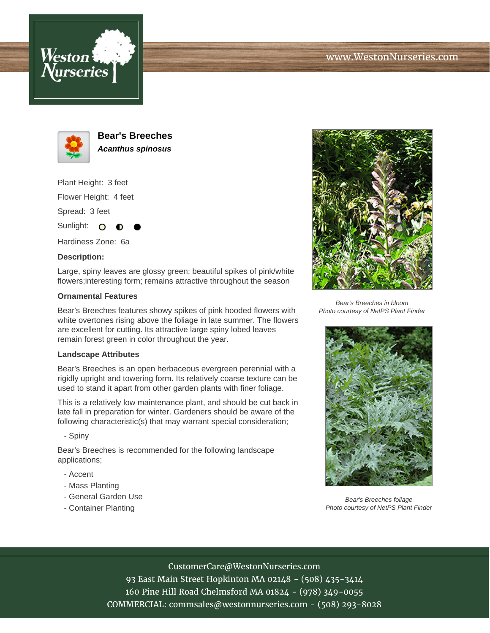





**Bear's Breeches Acanthus spinosus**

Plant Height: 3 feet Flower Height: 4 feet

Spread: 3 feet

Sunlight:  $\circ$ 

Hardiness Zone: 6a

## **Description:**

Large, spiny leaves are glossy green; beautiful spikes of pink/white flowers;interesting form; remains attractive throughout the season

## **Ornamental Features**

Bear's Breeches features showy spikes of pink hooded flowers with white overtones rising above the foliage in late summer. The flowers are excellent for cutting. Its attractive large spiny lobed leaves remain forest green in color throughout the year.

#### **Landscape Attributes**

Bear's Breeches is an open herbaceous evergreen perennial with a rigidly upright and towering form. Its relatively coarse texture can be used to stand it apart from other garden plants with finer foliage.

This is a relatively low maintenance plant, and should be cut back in late fall in preparation for winter. Gardeners should be aware of the following characteristic(s) that may warrant special consideration;

- Spiny

Bear's Breeches is recommended for the following landscape applications;

- Accent
- Mass Planting
- General Garden Use
- Container Planting



Bear's Breeches in bloom Photo courtesy of NetPS Plant Finder



Bear's Breeches foliage Photo courtesy of NetPS Plant Finder

## CustomerCare@WestonNurseries.com

93 East Main Street Hopkinton MA 02148 - (508) 435-3414 160 Pine Hill Road Chelmsford MA 01824 - (978) 349-0055 COMMERCIAL: commsales@westonnurseries.com - (508) 293-8028